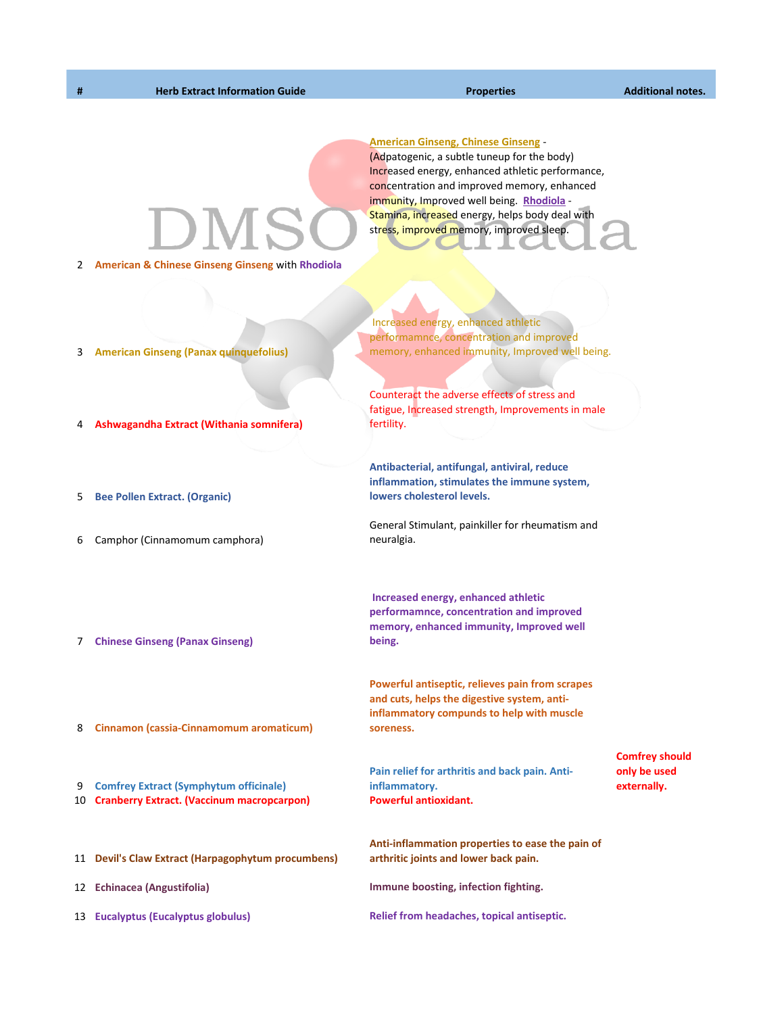**American Ginseng, Chinese Ginseng** - (Adpatogenic, a subtle tuneup for the body) Increased energy, enhanced athletic performance, concentration and improved memory, enhanced immunity, Improved well being. **Rhodiola** - Stamina, increased energy, helps body deal with stress, improved memory, improved sleep.

2 **American & Chinese Ginseng Ginseng** with **Rhodiola**

 Increased energy, enhanced athletic performamnce, concentration and improved memory, enhanced immunity, Improved well being.

Counteract the adverse effects of stress and fatigue, Increased strength, Improvements in male fertility.

**Antibacterial, antifungal, antiviral, reduce inflammation, stimulates the immune system, lowers cholesterol levels.**

General Stimulant, painkiller for rheumatism and neuralgia.

 **Increased energy, enhanced athletic performamnce, concentration and improved memory, enhanced immunity, Improved well being.** 

**Powerful antiseptic, relieves pain from scrapes and cuts, helps the digestive system, antiinflammatory compunds to help with muscle soreness.**

**Pain relief for arthritis and back pain. Antiinflammatory.** 

**Comfrey should only be used externally.**

**Anti-inflammation properties to ease the pain of arthritic joints and lower back pain.** 

12 **Echinacea (Angustifolia) Immune boosting, infection fighting.**

13 **Eucalyptus (Eucalyptus globulus) Relief from headaches, topical antiseptic.**

- 3 **American Ginseng (Panax quinquefolius)**
- 4 **Ashwagandha Extract (Withania somnifera)**
- 5 **Bee Pollen Extract. (Organic)**
- 6 Camphor (Cinnamomum camphora)
- 7 **Chinese Ginseng (Panax Ginseng)**
- 8 **Cinnamon (cassia-Cinnamomum aromaticum)**

9 **Comfrey Extract (Symphytum officinale)**

- 10 **Cranberry Extract. (Vaccinum macropcarpon) Powerful antioxidant.**
- 11 **Devil's Claw Extract (Harpagophytum procumbens)**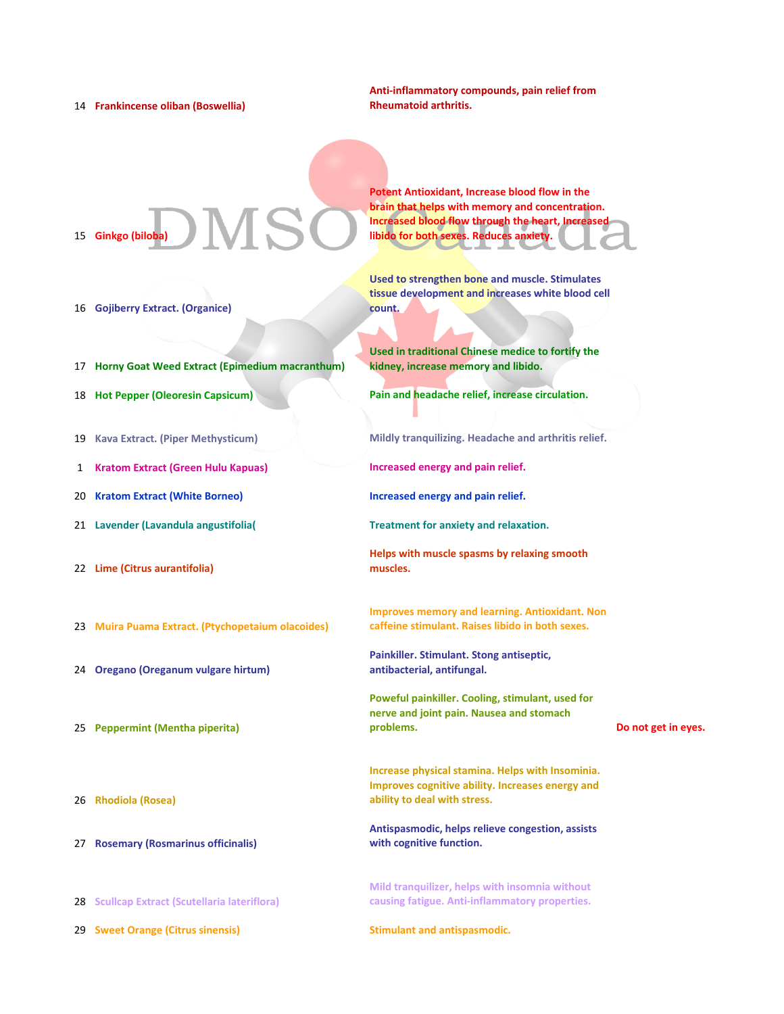14 **Frankincense oliban (Boswellia)**

**Anti-inflammatory compounds, pain relief from Rheumatoid arthritis.**

**Potent Antioxidant, Increase blood flow in the brain that helps with memory and concentration. Increased blood flow through the heart, Increased** 

**libido for both sexes. Reduces anxiety.** 

15 **Ginkgo (biloba)**

**Used to strengthen bone and muscle. Stimulates** 

- 16 **Gojiberry Extract. (Organice)**
- 17 **Horny Goat Weed Extract (Epimedium macranthum)**
- 
- 
- 1 **Kratom Extract (Green Hulu Kapuas) Increased energy and pain relief.**
- 20 **Kratom Extract (White Borneo) Increased energy and pain relief.**
- 21 **Lavender (Lavandula angustifolia( Treatment for anxiety and relaxation.**
- 22 **Lime (Citrus aurantifolia)**
- 23 **Muira Puama Extract. (Ptychopetaium olacoides)**
- 24 **Oregano (Oreganum vulgare hirtum)**
- 25 **Peppermint (Mentha piperita)**
- 26 **Rhodiola (Rosea)**
- 27 **Rosemary (Rosmarinus officinalis)**
- 28 **Scullcap Extract (Scutellaria lateriflora)**
- 29 **Sweet Orange (Citrus sinensis) Stimulant and antispasmodic.**

**tissue development and increases white blood cell count.**

**Used in traditional Chinese medice to fortify the kidney, increase memory and libido.**

18 **Hot Pepper (Oleoresin Capsicum) Pain and headache relief, increase circulation.**

19 **Kava Extract. (Piper Methysticum) Mildly tranquilizing. Headache and arthritis relief.**

- 
- 
- 
- **Helps with muscle spasms by relaxing smooth muscles.**
- **Improves memory and learning. Antioxidant. Non caffeine stimulant. Raises libido in both sexes.**
- **Painkiller. Stimulant. Stong antiseptic, antibacterial, antifungal.**
- **Poweful painkiller. Cooling, stimulant, used for nerve and joint pain. Nausea and stomach problems. Do not get in eyes.**
- **Increase physical stamina. Helps with Insominia. Improves cognitive ability. Increases energy and ability to deal with stress.**
- **Antispasmodic, helps relieve congestion, assists with cognitive function.**
- **Mild tranquilizer, helps with insomnia without causing fatigue. Anti-inflammatory properties.**
-